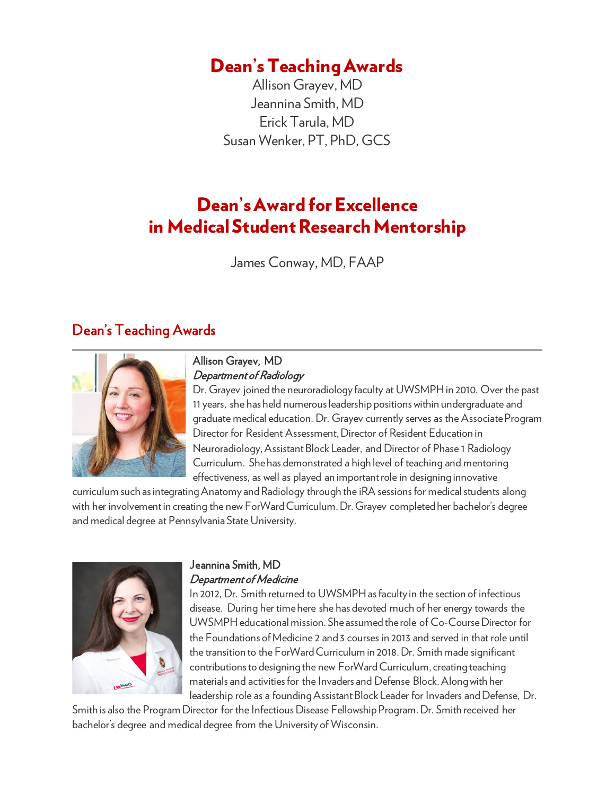# Dean's Teaching Awards

Allison Grayev, MD Jeannina Smith, MD Erick Tarula, MD Susan Wenker, PT, PhD, GCS

# Dean's Award for Excellence in Medical Student Research Mentorship

James Conway, MD, FAAP

### Dean's Teaching Awards



#### Allison Grayev, MD Department of Radiology

Dr. Grayev joined the neuroradiology faculty at UWSMPH in 2010. Over the past 11 years, she has held numerous leadership positions within undergraduate and graduate medical education. Dr. Grayev currently serves as the Associate Program Director for Resident Assessment, Director of Resident Education in Neuroradiology, Assistant Block Leader, and Director of Phase 1 Radiology Curriculum. She has demonstrated a high level of teaching and mentoring effectiveness, as well as played an important role in designing innovative

curriculum such as integrating Anatomy and Radiology through the iRA sessions for medical students along with her involvement in creating the new ForWard Curriculum. Dr. Grayev completed her bachelor's degree and medical degree at Pennsylvania State University.



#### Jeannina Smith, MD Department of Medicine

In 2012, Dr. Smith returned to UWSMPH as faculty in the section of infectious disease. During her time here she has devoted much of her energy towards the UWSMPH educational mission. She assumed the role of Co-Course Director for the Foundations of Medicine 2 and 3 courses in 2013 and served in that role until the transition to the ForWard Curriculum in 2018. Dr. Smith made significant contributions to designing the new ForWard Curriculum, creating teaching materials and activitiesfor the Invaders and Defense Block. Along with her leadership role as a founding Assistant Block Leader for Invaders and Defense, Dr.

Smith is also the Program Director for the Infectious Disease Fellowship Program. Dr. Smith received her bachelor's degree and medical degree from the University of Wisconsin.